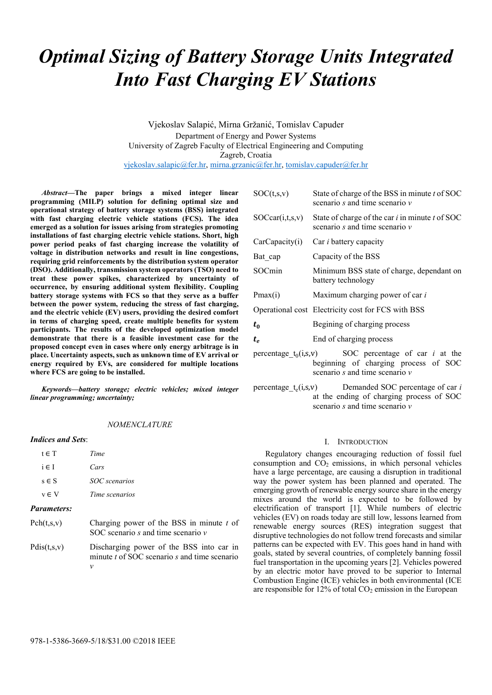# *Optimal Sizing of Battery Storage Units Integrated Into Fast Charging EV Stations*

Vjekoslav Salapić, Mirna Gržanić, Tomislav Capuder Department of Energy and Power Systems University of Zagreb Faculty of Electrical Engineering and Computing Zagreb, Croatia vjekoslav.salapic@fer.hr, mirna.grzanic@fer.hr, tomislav.capuder@fer.hr

*Abstract***—The paper brings a mixed integer linear programming (MILP) solution for defining optimal size and operational strategy of battery storage systems (BSS) integrated with fast charging electric vehicle stations (FCS). The idea emerged as a solution for issues arising from strategies promoting installations of fast charging electric vehicle stations. Short, high power period peaks of fast charging increase the volatility of voltage in distribution networks and result in line congestions, requiring grid reinforcements by the distribution system operator (DSO). Additionally, transmission system operators (TSO) need to treat these power spikes, characterized by uncertainty of occurrence, by ensuring additional system flexibility. Coupling battery storage systems with FCS so that they serve as a buffer between the power system, reducing the stress of fast charging, and the electric vehicle (EV) users, providing the desired comfort in terms of charging speed, create multiple benefits for system participants. The results of the developed optimization model demonstrate that there is a feasible investment case for the proposed concept even in cases where only energy arbitrage is in place. Uncertainty aspects, such as unknown time of EV arrival or energy required by EVs, are considered for multiple locations where FCS are going to be installed.** 

*Keywords—battery storage; electric vehicles; mixed integer linear programming; uncertainty;* 

## *NOMENCLATURE*

## *Indices and Sets*:

| <b>Parameters:</b> |                |  |
|--------------------|----------------|--|
| $v \in V$          | Time scenarios |  |
| $s \in S$          | SOC scenarios  |  |
| $i \in I$          | Cars           |  |
| $t \in T$          | Time           |  |

- Pch(t,s,v) Charging power of the BSS in minute *t* of SOC scenario *s* and time scenario *v*
- Pdis(t,s,v) Discharging power of the BSS into car in minute *t* of SOC scenario *s* and time scenario *v*

| SOC(t,s,v)                                                       | State of charge of the BSS in minute t of SOC<br>scenario s and time scenario $\nu$                 |  |  |
|------------------------------------------------------------------|-----------------------------------------------------------------------------------------------------|--|--|
| SOCear(i,t,s,v)                                                  | State of charge of the car <i>i</i> in minute <i>t</i> of SOC<br>scenario s and time scenario $\nu$ |  |  |
| CarCapacity(i)                                                   | Car <i>i</i> battery capacity                                                                       |  |  |
| Bat cap                                                          | Capacity of the BSS                                                                                 |  |  |
| SOCmin                                                           | Minimum BSS state of charge, dependant on<br>battery technology                                     |  |  |
| Pmax(i)                                                          | Maximum charging power of car i                                                                     |  |  |
|                                                                  | Operational cost Electricity cost for FCS with BSS                                                  |  |  |
| $t_{0}$                                                          | Begining of charging process                                                                        |  |  |
| $t_e$                                                            | End of charging process                                                                             |  |  |
| SOC percentage of car <i>i</i> at the<br>$percentage_t_0(i,s,v)$ |                                                                                                     |  |  |

- beginning of charging process of SOC scenario *s* and time scenario *v*
- percentage\_ $t_e(i,s,v)$  Demanded SOC percentage of car *i* at the ending of charging process of SOC scenario *s* and time scenario *v*

## I. INTRODUCTION

Regulatory changes encouraging reduction of fossil fuel consumption and  $CO<sub>2</sub>$  emissions, in which personal vehicles have a large percentage, are causing a disruption in traditional way the power system has been planned and operated. The emerging growth of renewable energy source share in the energy mixes around the world is expected to be followed by electrification of transport [1]. While numbers of electric vehicles (EV) on roads today are still low, lessons learned from renewable energy sources (RES) integration suggest that disruptive technologies do not follow trend forecasts and similar patterns can be expected with EV. This goes hand in hand with goals, stated by several countries, of completely banning fossil fuel transportation in the upcoming years [2]. Vehicles powered by an electric motor have proved to be superior to Internal Combustion Engine (ICE) vehicles in both environmental (ICE are responsible for  $12\%$  of total  $CO<sub>2</sub>$  emission in the European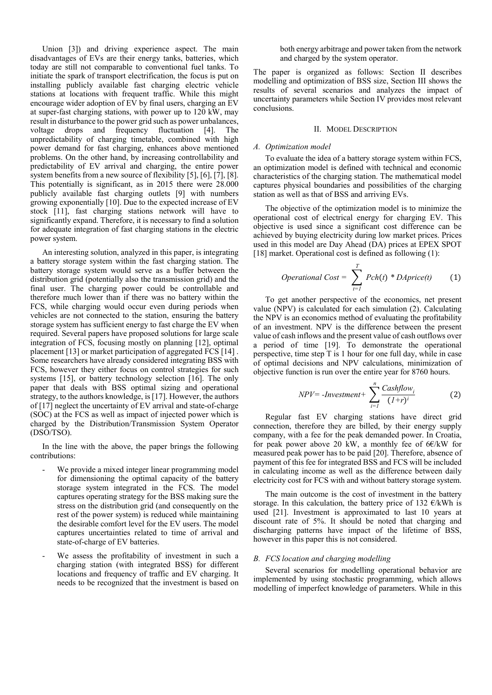Union [3]) and driving experience aspect. The main disadvantages of EVs are their energy tanks, batteries, which today are still not comparable to conventional fuel tanks. To initiate the spark of transport electrification, the focus is put on installing publicly available fast charging electric vehicle stations at locations with frequent traffic. While this might encourage wider adoption of EV by final users, charging an EV at super-fast charging stations, with power up to 120 kW, may result in disturbance to the power grid such as power unbalances, voltage drops and frequency fluctuation [4]. The unpredictability of charging timetable, combined with high power demand for fast charging, enhances above mentioned problems. On the other hand, by increasing controllability and predictability of EV arrival and charging, the entire power system benefits from a new source of flexibility [5], [6], [7], [8]. This potentially is significant, as in 2015 there were 28.000 publicly available fast charging outlets [9] with numbers growing exponentially [10]. Due to the expected increase of EV stock [11], fast charging stations network will have to significantly expand. Therefore, it is necessary to find a solution for adequate integration of fast charging stations in the electric power system.

An interesting solution, analyzed in this paper, is integrating a battery storage system within the fast charging station. The battery storage system would serve as a buffer between the distribution grid (potentially also the transmission grid) and the final user. The charging power could be controllable and therefore much lower than if there was no battery within the FCS, while charging would occur even during periods when vehicles are not connected to the station, ensuring the battery storage system has sufficient energy to fast charge the EV when required. Several papers have proposed solutions for large scale integration of FCS, focusing mostly on planning [12], optimal placement [13] or market participation of aggregated FCS [14] . Some researchers have already considered integrating BSS with FCS, however they either focus on control strategies for such systems [15], or battery technology selection [16]. The only paper that deals with BSS optimal sizing and operational strategy, to the authors knowledge, is [17]. However, the authors of [17] neglect the uncertainty of EV arrival and state-of-charge (SOC) at the FCS as well as impact of injected power which is charged by the Distribution/Transmission System Operator (DSO/TSO).

In the line with the above, the paper brings the following contributions:

- We provide a mixed integer linear programming model for dimensioning the optimal capacity of the battery storage system integrated in the FCS. The model captures operating strategy for the BSS making sure the stress on the distribution grid (and consequently on the rest of the power system) is reduced while maintaining the desirable comfort level for the EV users. The model captures uncertainties related to time of arrival and state-of-charge of EV batteries.
- We assess the profitability of investment in such a charging station (with integrated BSS) for different locations and frequency of traffic and EV charging. It needs to be recognized that the investment is based on

both energy arbitrage and power taken from the network and charged by the system operator.

The paper is organized as follows: Section II describes modelling and optimization of BSS size, Section III shows the results of several scenarios and analyzes the impact of uncertainty parameters while Section IV provides most relevant conclusions.

#### II. MODEL DESCRIPTION

#### *A. Optimization model*

To evaluate the idea of a battery storage system within FCS, an optimization model is defined with technical and economic characteristics of the charging station. The mathematical model captures physical boundaries and possibilities of the charging station as well as that of BSS and arriving EVs.

The objective of the optimization model is to minimize the operational cost of electrical energy for charging EV. This objective is used since a significant cost difference can be achieved by buying electricity during low market prices. Prices used in this model are Day Ahead (DA) prices at EPEX SPOT [18] market. Operational cost is defined as following (1):

*Operational Cost* = 
$$
\sum_{t=1}^{T} Pch(t) * DAprice(t)
$$
 (1)

To get another perspective of the economics, net present value (NPV) is calculated for each simulation (2). Calculating the NPV is an economics method of evaluating the profitability of an investment. NPV is the difference between the present value of cash inflows and the present value of cash outflows over a period of time [19]. To demonstrate the operational perspective, time step T is 1 hour for one full day, while in case of optimal decisions and NPV calculations, minimization of objective function is run over the entire year for 8760 hours.

$$
NPV = -Investment + \sum_{i=1}^{n} \frac{Cashflow_i}{(1+r)^i}
$$
 (2)

Regular fast EV charging stations have direct grid connection, therefore they are billed, by their energy supply company, with a fee for the peak demanded power. In Croatia, for peak power above 20 kW, a monthly fee of  $6E/kW$  for measured peak power has to be paid [20]. Therefore, absence of payment of this fee for integrated BSS and FCS will be included in calculating income as well as the difference between daily electricity cost for FCS with and without battery storage system.

The main outcome is the cost of investment in the battery storage. In this calculation, the battery price of 132  $\epsilon$ /kWh is used [21]. Investment is approximated to last 10 years at discount rate of 5%. It should be noted that charging and discharging patterns have impact of the lifetime of BSS, however in this paper this is not considered.

#### *B. FCS location and charging modelling*

Several scenarios for modelling operational behavior are implemented by using stochastic programming, which allows modelling of imperfect knowledge of parameters. While in this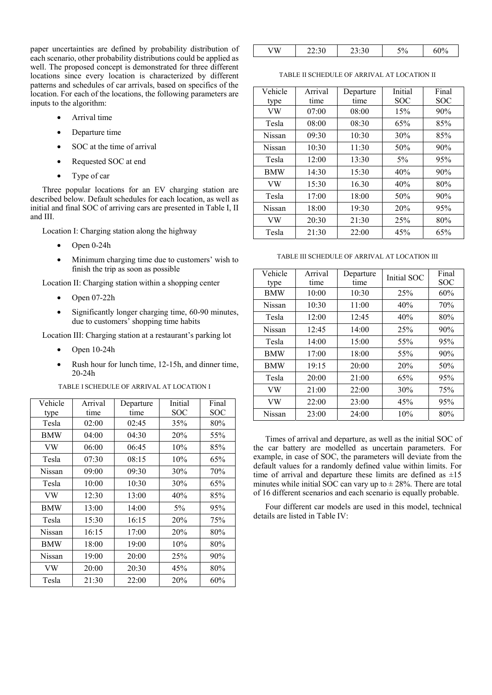paper uncertainties are defined by probability distribution of each scenario, other probability distributions could be applied as well. The proposed concept is demonstrated for three different locations since every location is characterized by different patterns and schedules of car arrivals, based on specifics of the location. For each of the locations, the following parameters are inputs to the algorithm:

- Arrival time
- Departure time
- SOC at the time of arrival
- Requested SOC at end
- Type of car

Three popular locations for an EV charging station are described below. Default schedules for each location, as well as initial and final SOC of arriving cars are presented in Table I, II and III.

Location I: Charging station along the highway

- Open 0-24h
- Minimum charging time due to customers' wish to finish the trip as soon as possible

Location II: Charging station within a shopping center

- $\bullet$  Open 07-22h
- Significantly longer charging time, 60-90 minutes, due to customers' shopping time habits

Location III: Charging station at a restaurant's parking lot

- Open 10-24h
- Rush hour for lunch time, 12-15h, and dinner time, 20-24h

TABLE I SCHEDULE OF ARRIVAL AT LOCATION I

| Vehicle | Arrival | Departure | Initial    | Final |
|---------|---------|-----------|------------|-------|
| type    | time    | time      | SOC        | SOC   |
| Tesla   | 02:00   | 02:45     | 35%        | 80%   |
| BMW     | 04:00   | 04:30     | 20%        | 55%   |
| VW      | 06:00   | 06:45     | 10%        | 85%   |
| Tesla   | 07:30   | 08:15     | 10%        | 65%   |
| Nissan  | 09:00   | 09:30     | 30%        | 70%   |
| Tesla   | 10:00   | 10:30     | 30%        | 65%   |
| VW      | 12:30   | 13:00     | 40%        | 85%   |
| BMW     | 13:00   | 14:00     | 5%         | 95%   |
| Tesla   | 15:30   | 16:15     | 20%        | 75%   |
| Nissan  | 16:15   | 17:00     | <b>20%</b> | 80%   |
| BMW     | 18:00   | 19:00     | 10%        | 80%   |
| Nissan  | 19:00   | 20:00     | 25%        | 90%   |
| VW      | 20:00   | 20:30     | 45%        | 80%   |
| Tesla   | 21:30   | 22:00     | 20%        | 60%   |

TABLE II SCHEDULE OF ARRIVAL AT LOCATION II

| Vehicle<br>type | Arrival<br>time | Departure<br>time | Initial<br><b>SOC</b> | Final<br><b>SOC</b> |
|-----------------|-----------------|-------------------|-----------------------|---------------------|
| VW              | 07:00           | 08:00             | 15%                   | 90%                 |
| Tesla           | 08:00           | 08:30             | 65%                   | 85%                 |
| Nissan          | 09:30           | 10:30             | 30%                   | 85%                 |
| Nissan          | 10:30           | 11:30             | 50%                   | 90%                 |
| Tesla           | 12:00           | 13:30             | $5\%$                 | 95%                 |
| <b>BMW</b>      | 14:30           | 15:30             | 40%                   | 90%                 |
| VW              | 15:30           | 16.30             | 40%                   | 80%                 |
| Tesla           | 17:00           | 18:00             | 50%                   | 90%                 |
| Nissan          | 18:00           | 19:30             | 20%                   | 95%                 |
| VW              | 20:30           | 21:30             | 25%                   | 80%                 |
| Tesla           | 21:30           | 22:00             | 45%                   | 65%                 |

TABLE III SCHEDULE OF ARRIVAL AT LOCATION III

| Vehicle<br>type | Arrival<br>time | Departure<br>time | Initial SOC | Final<br><b>SOC</b> |
|-----------------|-----------------|-------------------|-------------|---------------------|
| <b>BMW</b>      | 10:00           | 10:30             | 25%         | 60%                 |
| Nissan          | 10:30           | 11:00             | 40%         | 70%                 |
| Tesla           | 12:00           | 12:45             | 40%         | 80%                 |
| Nissan          | 12:45           | 14:00             | 25%         | 90%                 |
| Tesla           | 14:00           | 15:00             | 55%         | 95%                 |
| <b>BMW</b>      | 17:00           | 18:00             | 55%         | 90%                 |
| <b>BMW</b>      | 19:15           | 20:00             | 20%         | 50%                 |
| Tesla           | 20:00           | 21:00             | 65%         | 95%                 |
| VW              | 21:00           | 22:00             | 30%         | 75%                 |
| VW              | 22:00           | 23:00             | 45%         | 95%                 |
| Nissan          | 23:00           | 24:00             | 10%         | 80%                 |

Times of arrival and departure, as well as the initial SOC of the car battery are modelled as uncertain parameters. For example, in case of SOC, the parameters will deviate from the default values for a randomly defined value within limits. For time of arrival and departure these limits are defined as  $\pm 15$ minutes while initial SOC can vary up to  $\pm$  28%. There are total of 16 different scenarios and each scenario is equally probable.

Four different car models are used in this model, technical details are listed in Table IV: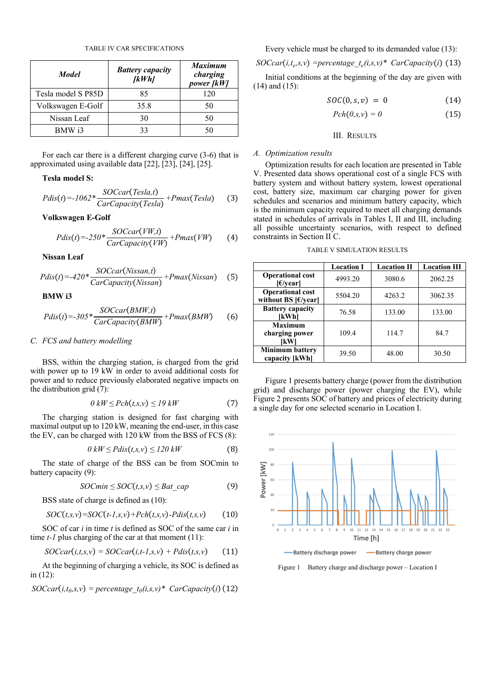TABLE IV CAR SPECIFICATIONS

| <b>Model</b>       | <b>Battery capacity</b><br>[kWh] | <b>Maximum</b><br>charging<br>power [kW] |
|--------------------|----------------------------------|------------------------------------------|
| Tesla model S P85D | 85                               | 120                                      |
| Volkswagen E-Golf  | 35.8                             | 50                                       |
| Nissan Leaf        | 30                               | 50                                       |
| BMW i3             | 33                               | 50                                       |

For each car there is a different charging curve (3-6) that is approximated using available data [22], [23], [24], [25].

## **Tesla model S:**

$$
Pdis(t) = -1062 * \frac{SOCcar(Tesla, t)}{CarCapacity(Tesla)} + Pmax(Tesla)
$$
 (3)

## **Volkswagen E-Golf**

$$
Pdis(t) = -250 * \frac{SOCcar(VW,t)}{CarCapacity(VW)} + Pmax(VW)
$$
 (4)

**Nissan Leaf** 

$$
Pdis(t) = -420 * \frac{SOCcar(Nissan,t)}{CarCapacity(Nissan)} + Pmax(Nissan)
$$
 (5)

**BMW i3** 

$$
Pdis(t) = -305 * \frac{SOCcar(BMW,t)}{CarCapacity(BMW)} + Pmax(BMW)
$$
 (6)

## *C. FCS and battery modelling*

BSS, within the charging station, is charged from the grid with power up to 19 kW in order to avoid additional costs for power and to reduce previously elaborated negative impacts on the distribution grid (7):

$$
0 \; kW \le Pch(t, s, v) \le 19 \; kW \tag{7}
$$

The charging station is designed for fast charging with maximal output up to 120 kW, meaning the end-user, in this case the EV, can be charged with 120 kW from the BSS of FCS (8):

$$
0 \, kW \le P \, dis(t, s, v) \le 120 \, kW \tag{8}
$$

The state of charge of the BSS can be from SOCmin to battery capacity (9):

$$
SOCmin \leq SOC(t,s,v) \leq Bat \ cap
$$
 (9)

BSS state of charge is defined as (10):

$$
SOC(t,s,v)=SOC(t-1,s,v)+Pch(t,s,v)-Pdis(t,s,v) \qquad (10)
$$

SOC of car *i* in time *t* is defined as SOC of the same car *i* in time *t*-*l* plus charging of the car at that moment (11):

$$
SOCcar(i,t,s,v) = SOCcar(i,t-1,s,v) + Pdis(t,s,v) \qquad (11)
$$

At the beginning of charging a vehicle, its SOC is defined as in (12):

 $SOCcar(i,t_0,s,v) = percentage t_0(i,s,v)* CarCapacity(i)$  (12)

Every vehicle must be charged to its demanded value (13):

$$
SOCcar(i, t_e, s, v) = percentage_t_e(i, s, v)^* CarCapacity(i)
$$
 (13)

Initial conditions at the beginning of the day are given with (14) and (15):

$$
SOC(0, s, v) = 0 \tag{14}
$$

$$
Pch(0,s,v) = 0 \tag{15}
$$

## III. RESULTS

## *A. Optimization results*

Optimization results for each location are presented in Table V. Presented data shows operational cost of a single FCS with battery system and without battery system, lowest operational cost, battery size, maximum car charging power for given schedules and scenarios and minimum battery capacity, which is the minimum capacity required to meet all charging demands stated in schedules of arrivals in Tables I, II and III, including all possible uncertainty scenarios, with respect to defined constraints in Section II C.

TABLE V SIMULATION RESULTS

|                                                                                   | <b>Location I</b> | <b>Location II</b> | <b>Location III</b> |
|-----------------------------------------------------------------------------------|-------------------|--------------------|---------------------|
| <b>Operational cost</b><br>E/year                                                 | 4993.20           | 3080.6             | 2062.25             |
| <b>Operational cost</b><br>without BS $\left[\frac{\epsilon}{\text{year}}\right]$ | 5504.20           | 4263.2             | 3062.35             |
| <b>Battery capacity</b><br>[kWh]                                                  | 76.58             | 133.00             | 133.00              |
| <b>Maximum</b><br>charging power<br>[kW]                                          | 109.4             | 114.7              | 84.7                |
| <b>Minimum battery</b><br>capacity [kWh]                                          | 39.50             | 48.00              | 30.50               |

Figure 1 presents battery charge (power from the distribution grid) and discharge power (power charging the EV), while Figure 2 presents SOC of battery and prices of electricity during a single day for one selected scenario in Location I.

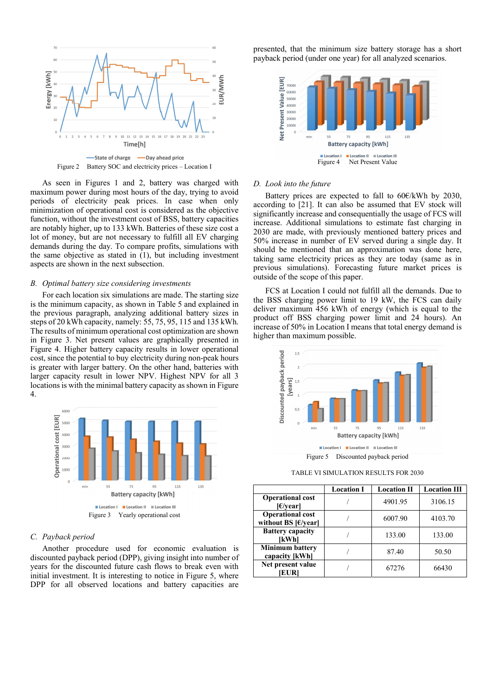

As seen in Figures 1 and 2, battery was charged with maximum power during most hours of the day, trying to avoid

periods of electricity peak prices. In case when only minimization of operational cost is considered as the objective function, without the investment cost of BSS, battery capacities are notably higher, up to 133 kWh. Batteries of these size cost a lot of money, but are not necessary to fulfill all EV charging demands during the day. To compare profits, simulations with the same objective as stated in (1), but including investment aspects are shown in the next subsection.

## *B. Optimal battery size considering investments*

For each location six simulations are made. The starting size is the minimum capacity, as shown in Table 5 and explained in the previous paragraph, analyzing additional battery sizes in steps of 20 kWh capacity, namely: 55, 75, 95, 115 and 135 kWh. The results of minimum operational cost optimization are shown in Figure 3. Net present values are graphically presented in Figure 4. Higher battery capacity results in lower operational cost, since the potential to buy electricity during non-peak hours is greater with larger battery. On the other hand, batteries with larger capacity result in lower NPV. Highest NPV for all 3 locations is with the minimal battery capacity as shown in Figure 4.



## *C. Payback period*

Another procedure used for economic evaluation is discounted payback period (DPP), giving insight into number of years for the discounted future cash flows to break even with initial investment. It is interesting to notice in Figure 5, where DPP for all observed locations and battery capacities are

presented, that the minimum size battery storage has a short payback period (under one year) for all analyzed scenarios.



## *D. Look into the future*

Battery prices are expected to fall to 60€/kWh by 2030, according to [21]. It can also be assumed that EV stock will significantly increase and consequentially the usage of FCS will increase. Additional simulations to estimate fast charging in 2030 are made, with previously mentioned battery prices and 50% increase in number of EV served during a single day. It should be mentioned that an approximation was done here, taking same electricity prices as they are today (same as in previous simulations). Forecasting future market prices is outside of the scope of this paper.

FCS at Location I could not fulfill all the demands. Due to the BSS charging power limit to 19 kW, the FCS can daily deliver maximum 456 kWh of energy (which is equal to the product off BSS charging power limit and 24 hours). An increase of 50% in Location I means that total energy demand is higher than maximum possible.



Figure 5 Discounted payback period

TABLE VI SIMULATION RESULTS FOR 2030

|                                                                           | <b>Location I</b> | <b>Location II</b> | <b>Location III</b> |
|---------------------------------------------------------------------------|-------------------|--------------------|---------------------|
| <b>Operational cost</b><br>E/year                                         |                   | 4901.95            | 3106.15             |
| <b>Operational cost</b><br>without BS $\left[\frac{\epsilon}{\nu}\right]$ |                   | 6007.90            | 4103.70             |
| <b>Battery capacity</b><br>IkWhl                                          |                   | 133.00             | 133.00              |
| <b>Minimum battery</b><br>capacity [kWh]                                  |                   | 87.40              | 50.50               |
| Net present value<br><b>EUR</b>                                           |                   | 67276              | 66430               |